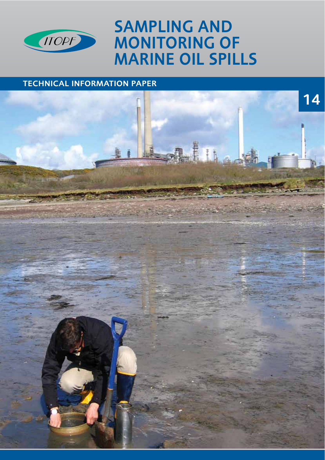

# SAMPLING AND MONITORING OF MARINE OIL SPILLS

# TECHNICAL INFORMATION PAPER

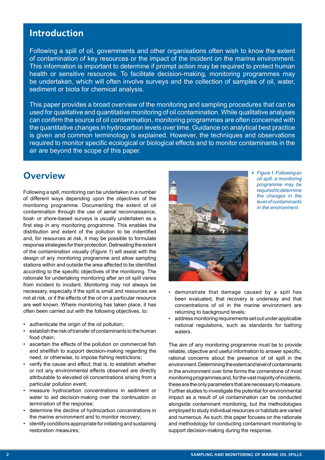## Introduction

Following a spill of oil, governments and other organisations often wish to know the extent of contamination of key resources or the impact of the incident on the marine environment. This information is important to determine if prompt action may be required to protect human health or sensitive resources. To facilitate decision-making, monitoring programmes may be undertaken, which will often involve surveys and the collection of samples of oil, water, sediment or biota for chemical analysis.

This paper provides a broad overview of the monitoring and sampling procedures that can be used for qualitative and quantitative monitoring of oil contamination. While qualitative analyses can confrm the source of oil contamination, monitoring programmes are often concerned with the quantitative changes in hydrocarbon levels over time. Guidance on analytical best practice is given and common terminology is explained. However, the techniques and observations required to monitor specifc ecological or biological effects and to monitor contaminants in the air are beyond the scope of this paper.

## **Overview**

Following a spill, monitoring can be undertaken in a number of different ways depending upon the objectives of the monitoring programme. Documenting the extent of oil contamination through the use of aerial reconnaissance, boat- or shore-based surveys is usually undertaken as a frst step in any monitoring programme. This enables the distribution and extent of the pollution to be indentifed and, for resources at risk, it may be possible to formulate response strategies for their protection. Delineating the extent of the contamination visually (*Figure 1*) will assist with the design of any monitoring programme and allow sampling stations within and outside the area affected to be identifed according to the specifc objectives of the monitoring. The rationale for undertaking monitoring after an oil spill varies from incident to incident. Monitoring may not always be necessary, especially if the spill is small and resources are not at risk, or if the effects of the oil on a particular resource are well known. Where monitoring has taken place, it has often been carried out with the following objectives, to:

- authenticate the origin of the oil pollution;
- establish the risk of transfer of contaminants to the human food chain;
- ascertain the effects of the pollution on commercial fish and shellfish to support decision-making regarding the need, or otherwise, to impose fishing restrictions;
- verify the cause and effect; that is, to establish whether or not any environmental effects observed are directly attributable to elevated oil concentrations arising from a particular pollution event;
- measure hydrocarbon concentrations in sediment or water to aid decision-making over the continuation or termination of the response;
- determine the decline of hydrocarbon concentrations in the marine environment and to monitor recovery;
- identify conditions appropriate for initiating and sustaining restoration measures;



 *Figure 1: Following an oil spill, a monitoring programme may be required to determine the changes in the level of contaminants in the environment.*

- demonstrate that damage caused by a spill has been evaluated, that recovery is underway and that concentrations of oil in the marine environment are returning to background levels;
- address monitoring requirements set out under applicable national regulations, such as standards for bathing waters.

The aim of any monitoring programme must be to provide reliable, objective and useful information to answer specifc, rational concerns about the presence of oil spilt in the environment. Determining the extent and level of contaminants in the environment over time forms the cornerstone of most monitoring programmes and, for the vast majority of incidents, these are the only parameters that are necessary to measure. Further studies to investigate the potential for environmental impact as a result of oil contamination can be conducted alongside contaminant monitoring, but the methodologies employed to study individual resources or habitats are varied and numerous. As such, this paper focuses on the rationale and methodology for conducting contaminant monitoring to support decision-making during the response.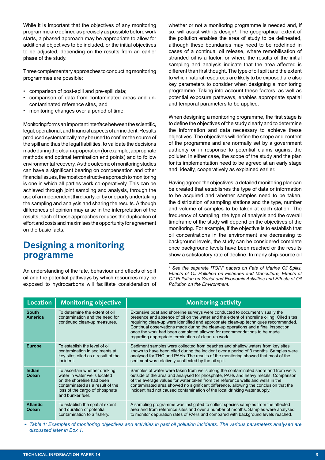While it is important that the objectives of any monitoring programme are defned as precisely as possible before work starts, a phased approach may be appropriate to allow for additional objectives to be included, or the initial objectives to be adjusted, depending on the results from an earlier phase of the study.

Three complementary approaches to conducting monitoring programmes are possible:

- comparison of post-spill and pre-spill data;
- comparison of data from contaminated areas and uncontaminated reference sites, and
- monitoring changes over a period of time.

Monitoring forms an important interface between the scientifc, legal, operational, and financial aspects of an incident. Results produced systematically may be used to confrm the source of the spill and thus the legal liabilities, to validate the decisions made during the clean-up operation (for example, appropriate methods and optimal termination end points) and to follow environmental recovery. As the outcome of monitoring studies can have a signifcant bearing on compensation and other fnancial issues, the most constructive approach to monitoring is one in which all parties work co-operatively. This can be achieved through joint sampling and analysis, through the use of an independent third party, or by one party undertaking the sampling and analysis and sharing the results. Although differences of opinion may arise in the interpretation of the results, each of these approaches reduces the duplication of effort and costs and maximises the opportunity for agreement on the basic facts.

## Designing a monitoring programme

An understanding of the fate, behaviour and effects of spilt oil and the potential pathways by which resources may be exposed to hydrocarbons will facilitate consideration of whether or not a monitoring programme is needed and, if so, will assist with its design<sup>1</sup>. The geographical extent of the pollution enables the area of study to be delineated, although these boundaries may need to be redefned in cases of a continual oil release, where remobilisation of stranded oil is a factor, or where the results of the initial sampling and analysis indicate that the area affected is different than first thought. The type of oil spilt and the extent to which natural resources are likely to be exposed are also key parameters to consider when designing a monitoring programme. Taking into account these factors, as well as potential exposure pathways, enables appropriate spatial and temporal parameters to be applied.

When designing a monitoring programme, the first stage is to defne the objectives of the study clearly and to determine the information and data necessary to achieve these objectives. The objectives will defne the scope and content of the programme and are normally set by a government authority or in response to potential claims against the polluter. In either case, the scope of the study and the plan for its implementation need to be agreed at an early stage and, ideally, cooperatively as explained earlier.

Having agreed the objectives, a detailed monitoring plan can be created that establishes the type of data or information to be acquired and whether samples need to be taken, the distribution of sampling stations and the type, number and volume of samples to be taken at each station. The frequency of sampling, the type of analysis and the overall timeframe of the study will depend on the objectives of the monitoring. For example, if the objective is to establish that oil concentrations in the environment are decreasing to background levels, the study can be considered complete once background levels have been reached or the results show a satisfactory rate of decline. In many ship-source oil

*1 See the separate ITOPF papers on Fate of Marine Oil Spills, Effects of Oil Pollution on Fisheries and Mariculture, Effects of Oil Pollution on Social and Economic Activities and Effects of Oil Pollution on the Environment.*

| Location                       | <b>Monitoring objective</b>                                                                                                                                                         | <b>Monitoring activity</b>                                                                                                                                                                                                                                                                                                                                                                                                                                                             |
|--------------------------------|-------------------------------------------------------------------------------------------------------------------------------------------------------------------------------------|----------------------------------------------------------------------------------------------------------------------------------------------------------------------------------------------------------------------------------------------------------------------------------------------------------------------------------------------------------------------------------------------------------------------------------------------------------------------------------------|
| <b>South</b><br><b>America</b> | To determine the extent of oil<br>contamination and the need for<br>continued clean-up measures.                                                                                    | Extensive boat and shoreline surveys were conducted to document visually the<br>presence and absence of oil on the water and the extent of shoreline oiling. Oiled sites<br>requiring clean-up were identified and appropriate clean-up techniques recommended.<br>Continual observations made during the clean-up operations and a final inspection<br>once the work had been completed allowed for recommendations to be made<br>regarding appropriate termination of clean-up work. |
| <b>Europe</b>                  | To establish the level of oil<br>contamination in sediments at<br>key sites oiled as a result of the<br>incident.                                                                   | Sediment samples were collected from beaches and shallow waters from key sites<br>known to have been oiled during the incident over a period of 3 months. Samples were<br>analysed for THC and PAHs. The results of the monitoring showed that most of the<br>sediment was relatively unaffected by the oil spill.                                                                                                                                                                     |
| <b>Indian</b><br>Ocean         | To ascertain whether drinking<br>water in water wells located<br>on the shoreline had been<br>contaminated as a result of the<br>loss of the cargo of phosphate<br>and bunker fuel. | Samples of water were taken from wells along the contaminated shore and from wells<br>outside of the area and analysed for phosphate, PAHs and heavy metals. Comparison<br>of the average values for water taken from the reference wells and wells in the<br>contaminated area showed no significant difference, allowing the conclusion that the<br>incident had not caused contamination of the local drinking water supply.                                                        |
| <b>Atlantic</b><br>Ocean       | To establish the spatial extent<br>and duration of potential<br>contamination to a fishery.                                                                                         | A sampling programme was instigated to collect species samples from the affected<br>area and from reference sites and over a number of months. Samples were analysed<br>to monitor depuration rates of PAHs and compared with background levels reached.                                                                                                                                                                                                                               |

5 *Table 1: Examples of monitoring objectives and activities in past oil pollution incidents. The various parameters analysed are discussed later in Box 1.*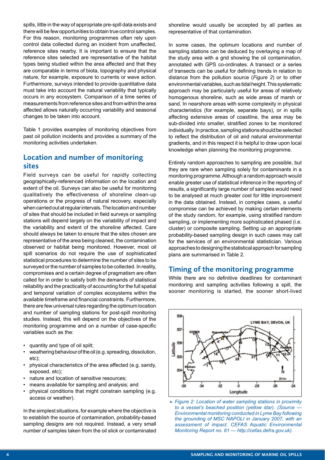spills, little in the way of appropriate pre-spill data exists and there will be few opportunities to obtain true control samples. For this reason, monitoring programmes often rely upon control data collected during an incident from unaffected, reference sites nearby. It is important to ensure that the reference sites selected are representative of the habitat types being studied within the area affected and that they are comparable in terms of biota, topography and physical nature, for example, exposure to currents or wave action. Furthermore, surveys intended to provide quantitative data must take into account the natural variability that typically occurs in any ecosystem. Comparison of a time series of measurements from reference sites and from within the area affected allows naturally occurring variability and seasonal changes to be taken into account.

Table 1 provides examples of monitoring objectives from past oil pollution incidents and provides a summary of the monitoring activities undertaken.

#### Location and number of monitoring sites

Field surveys can be useful for rapidly collecting geographically-referenced information on the location and extent of the oil. Surveys can also be useful for monitoring qualitatively the effectiveness of shoreline clean-up operations or the progress of natural recovery, especially when carried out at regular intervals. The location and number of sites that should be included in feld surveys or sampling stations will depend largely on the variability of impact and the variability and extent of the shoreline affected. Care should always be taken to ensure that the sites chosen are representative of the area being cleaned, the contamination observed or habitat being monitored. However, most oil spill scenarios do not require the use of sophisticated statistical procedures to determine the number of sites to be surveyed or the number of samples to be collected. In reality, compromises and a certain degree of pragmatism are often called for in order to satisfy both the demands of statistical reliability and the practicality of accounting for the full spatial and temporal variation of complex ecosystems within the available timeframe and fnancial constraints. Furthermore, there are few universal rules regarding the optimum location and number of sampling stations for post-spill monitoring studies. Instead, this will depend on the objectives of the monitoring programme and on a number of case-specifc variables such as the:

- quantity and type of oil spilt;
- weathering behaviour of the oil (e.g. spreading, dissolution, etc);
- physical characteristics of the area affected (e.g. sandy, exposed, etc);
- nature and location of sensitive resources;
- means available for sampling and analysis; and
- physical conditions that might constrain sampling (e.g. access or weather).

In the simplest situations, for example where the objective is to establish the source of contamination, probability-based sampling designs are not required. Instead, a very small number of samples taken from the oil slick or contaminated

shoreline would usually be accepted by all parties as representative of that contamination.

In some cases, the optimum locations and number of sampling stations can be deduced by overlaying a map of the study area with a grid showing the oil contamination, annotated with GPS co-ordinates. A transect or a series of transects can be useful for defning trends in relation to distance from the pollution source (*Figure 2*) or to other environmental variables, such as tidal height. This systematic approach may be particularly useful for areas of relatively homogenous shoreline, such as wide areas of marsh or sand. In nearshore areas with some complexity in physical characteristics (for example, separate bays), or in spills affecting extensive areas of coastline, the area may be sub-divided into smaller, stratifed zones to be monitored individually. In practice, sampling stations should be selected to refect the distribution of oil and natural environmental gradients, and in this respect it is helpful to draw upon local knowledge when planning the monitoring programme.

Entirely random approaches to sampling are possible, but they are rare when sampling solely for contaminants in a monitoring programme. Although a random approach would enable greater use of statistical inference in the reporting of results, a signifcantly large number of samples would need to be analysed at much greater cost for little improvement in the data obtained. Instead, in complex cases, a useful compromise can be achieved by making certain elements of the study random, for example, using stratifed random sampling, or implementing more sophisticated phased (i.e. cluster) or composite sampling. Setting up an appropriate probability-based sampling design in such cases may call for the services of an environmental statistician. Various approaches to designing the statistical approach for sampling plans are summarised in Table 2.

#### Timing of the monitoring programme

While there are no defnitive deadlines for contaminant monitoring and sampling activities following a spill, the sooner monitoring is started, the sooner short-lived



<sup>5</sup> *Figure 2: Location of water sampling stations in proximity to a vessel's beached position (yellow star). (Source — Environmental monitoring conducted in Lyme Bay following the grounding of MSC NAPOLI in January 2007, with an assessment of impact. CEFAS Aquatic Environmental Monitoring Report no. 61 — http://cefas.defra.gov.uk).*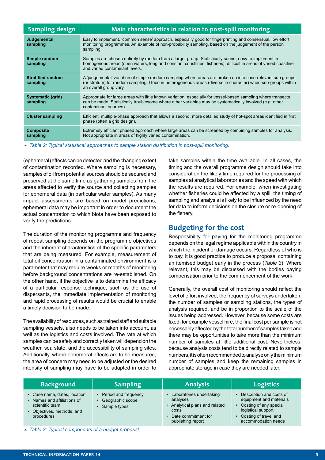| <b>Sampling design</b>               | Main characteristics in relation to post-spill monitoring                                                                                                                                                                                                 |
|--------------------------------------|-----------------------------------------------------------------------------------------------------------------------------------------------------------------------------------------------------------------------------------------------------------|
| Judgemental<br>sampling              | Easy to implement, 'common sense' approach, especially good for fingerprinting and consensual, low effort<br>monitoring programmes. An example of non-probability sampling, based on the judgement of the person<br>sampling.                             |
| Simple random<br>sampling            | Samples are chosen entirely by random from a larger group. Statistically sound, easy to implement in<br>homogenous areas (open waters, long and constant coastlines, fisheries); difficult in areas of varied coastline<br>and varied contaminant levels. |
| <b>Stratified random</b><br>sampling | A 'judgemental' variation of simple random sampling where areas are broken up into case-relevant sub groups<br>(or stratum) for random sampling. Good in heterogeneous areas (diverse in character) when sub-groups within<br>an overall group vary.      |
| Systematic (grid)<br>sampling        | Appropriate for large areas with little known variation, especially for vessel-based sampling where transects<br>can be made. Statistically troublesome where other variables may be systematically involved (e.g. other<br>contaminant sources).         |
| <b>Cluster sampling</b>              | Efficient, multiple-phase approach that allows a second, more detailed study of hot-spot areas identified in first<br>phase (often a grid design).                                                                                                        |
| <b>Composite</b><br>sampling         | Extremely efficient phased approach where large areas can be screened by combining samples for analysis.<br>Not appropriate in areas of highly varied contamination.                                                                                      |

5 *Table 2: Typical statistical approaches to sample station distribution in post-spill monitoring.*

(ephemeral) effects can be detected and the changing extent of contamination recorded. Where sampling is necessary, samples of oil from potential sources should be secured and preserved at the same time as gathering samples from the areas affected to verify the source and collecting samples for ephemeral data (in particular water samples). As many impact assessments are based on model predictions, ephemeral data may be important in order to document the actual concentration to which biota have been exposed to verify the predictions.

The duration of the monitoring programme and frequency of repeat sampling depends on the programme objectives and the inherent characteristics of the specific parameters that are being measured. For example, measurement of total oil concentration in a contaminated environment is a parameter that may require weeks or months of monitoring before background concentrations are re-established. On the other hand, if the objective is to determine the efficacy of a particular response technique, such as the use of dispersants, the immediate implementation of monitoring and rapid processing of results would be crucial to enable a timely decision to be made.

The availability of resources, such as trained staff and suitable sampling vessels, also needs to be taken into account, as well as the logistics and costs involved. The rate at which samples can be safely and correctly taken will depend on the weather, sea state, and the accessibility of sampling sites. Additionally, where ephemeral effects are to be measured, the area of concern may need to be adjusted or the desired intensity of sampling may have to be adapted in order to

take samples within the time available. In all cases, the timing and the overall programme design should take into consideration the likely time required for the processing of samples at analytical laboratories and the speed with which the results are required. For example, when investigating whether fisheries could be affected by a spill, the timing of sampling and analysis is likely to be infuenced by the need for data to inform decisions on the closure or re-opening of the fishery.

#### Budgeting for the cost

Responsibility for paying for the monitoring programme depends on the legal regime applicable within the country in which the incident or damage occurs. Regardless of who is to pay, it is good practice to produce a proposal containing an itemised budget early in the process (*Table 3*). Where relevant, this may be discussed with the bodies paying compensation prior to the commencement of the work.

Generally, the overall cost of monitoring should refect the level of effort involved, the frequency of surveys undertaken, the number of samples or sampling stations, the types of analysis required, and be in proportion to the scale of the issues being addressed. However, because some costs are fixed, for example vessel hire, the final cost per sample is not necessarily affected by the total number of samples taken and there may be opportunities to take more than the minimum number of samples at little additional cost. Nevertheless, because analysis costs tend to be directly related to sample numbers, it is often recommended to analyse only the minimum number of samples and keep the remaining samples in appropriate storage in case they are needed later.

| <b>Background</b>                                                                                                          | <b>Sampling</b>                                              | <b>Analysis</b>                                                                                                           | <b>Logistics</b>                                                                                                                                    |
|----------------------------------------------------------------------------------------------------------------------------|--------------------------------------------------------------|---------------------------------------------------------------------------------------------------------------------------|-----------------------------------------------------------------------------------------------------------------------------------------------------|
| • Case name, dates, location<br>• Names and affiliations of<br>scientific team<br>• Objectives, methods, and<br>procedures | • Period and frequency<br>Geographic scope<br>• Sample types | Laboratories undertaking<br>analyses<br>Analytical plans and related<br>costs<br>Date commitment for<br>publishing report | Description and costs of<br>equipment and materials<br>Costing of any special<br>logistical support<br>Costing of travel and<br>accommodation needs |

5 *Table 3: Typical components of a budget proposal.*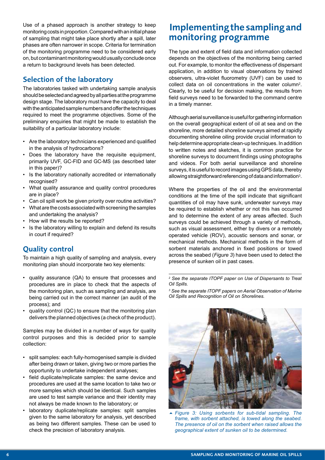Use of a phased approach is another strategy to keep monitoring costs in proportion. Compared with an initial phase of sampling that might take place shortly after a spill, later phases are often narrower in scope. Criteria for termination of the monitoring programme need to be considered early on, but contaminant monitoring would usually conclude once a return to background levels has been detected.

#### Selection of the laboratory

The laboratories tasked with undertaking sample analysis should be selected and agreed by all parties at the programme design stage. The laboratory must have the capacity to deal with the anticipated sample numbers and offer the techniques required to meet the programme objectives. Some of the preliminary enquiries that might be made to establish the suitability of a particular laboratory include:

- Are the laboratory technicians experienced and qualifed in the analysis of hydrocarbons?
- Does the laboratory have the requisite equipment, primarily UVF, GC-FID and GC-MS (as described later in this paper)?
- Is the laboratory nationally accredited or internationally recognised?
- What quality assurance and quality control procedures are in place?
- Can oil spill work be given priority over routine activities?
- What are the costs associated with screening the samples and undertaking the analysis?
- How will the results be reported?
- Is the laboratory willing to explain and defend its results in court if required?

#### Quality control

To maintain a high quality of sampling and analysis, every monitoring plan should incorporate two key elements:

- quality assurance (QA) to ensure that processes and procedures are in place to check that the aspects of the monitoring plan, such as sampling and analysis, are being carried out in the correct manner (an audit of the process); and
- quality control (QC) to ensure that the monitoring plan delivers the planned objectives (a check of the product).

Samples may be divided in a number of ways for quality control purposes and this is decided prior to sample collection:

- split samples: each fully-homogenised sample is divided after being drawn or taken, giving two or more parties the opportunity to undertake independent analyses;
- field duplicate/replicate samples: the same device and procedures are used at the same location to take two or more samples which should be identical. Such samples are used to test sample variance and their identity may not always be made known to the laboratory; or
- laboratory duplicate/replicate samples: split samples given to the same laboratory for analysis, yet described as being two different samples. These can be used to check the precision of laboratory analysis.

# Implementing the sampling and monitoring programme

The type and extent of field data and information collected depends on the objectives of the monitoring being carried out. For example, to monitor the effectiveness of dispersant application, in addition to visual observations by trained observers, ultra-violet fuorometry (UVF) can be used to collect data on oil concentrations in the water column2. Clearly, to be useful for decision making, the results from feld surveys need to be forwarded to the command centre in a timely manner.

Although aerial surveillance is useful for gathering information on the overall geographical extent of oil at sea and on the shoreline, more detailed shoreline surveys aimed at rapidly documenting shoreline oiling provide crucial information to help determine appropriate clean-up techniques. In addition to written notes and sketches, it is common practice for shoreline surveys to document fndings using photographs and videos. For both aerial surveillance and shoreline surveys, it is useful to record images using GPS data, thereby allowing straightforward referencing of data and information<sup>3</sup>.

Where the properties of the oil and the environmental conditions at the time of the spill indicate that signifcant quantities of oil may have sunk, underwater surveys may be required to establish whether or not this has occurred and to determine the extent of any areas affected. Such surveys could be achieved through a variety of methods, such as visual assessment, either by divers or a remotely operated vehicle (ROV), acoustic sensors and sonar, or mechanical methods. Mechanical methods in the form of sorbent materials anchored in fixed positions or towed across the seabed (*Figure 3*) have been used to detect the presence of sunken oil in past cases.

*2 See the separate ITOPF paper on Use of Dispersants to Treat Oil Spills.*

*3 See the separate ITOPF papers on Aerial Observation of Marine Oil Spills and Recognition of Oil on Shorelines.*



5 *Figure 3: Using sorbents for sub-tidal sampling. The frame, with sorbent attached, is towed along the seabed. The presence of oil on the sorbent when raised allows the geographical extent of sunken oil to be determined.*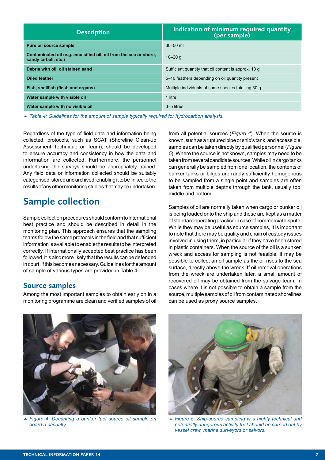| <b>Description</b>                                                                        | Indication of minimum required quantity<br>(per sample) |  |
|-------------------------------------------------------------------------------------------|---------------------------------------------------------|--|
| Pure oil source sample                                                                    | $30 - 50$ ml                                            |  |
| Contaminated oil (e.g. emulsified oil, oil from the sea or shore,<br>sandy tarball, etc.) | $10 - 20$ q                                             |  |
| Debris with oil, oil stained sand                                                         | Sufficient quantity that oil content is approx. 10 q    |  |
| <b>Oiled feather</b>                                                                      | 5–10 feathers depending on oil quantity present         |  |
| Fish, shellfish (flesh and organs)                                                        | Multiple individuals of same species totalling 30 g     |  |
| Water sample with visible oil                                                             | 1 litre                                                 |  |
| Water sample with no visible oil                                                          | 3-5 litres                                              |  |

5 *Table 4: Guidelines for the amount of sample typically required for hydrocarbon analysis.*

Regardless of the type of feld data and information being collected, protocols, such as SCAT (Shoreline Clean-up Assessment Technique or Team), should be developed to ensure accuracy and consistency in how the data and information are collected. Furthermore, the personnel undertaking the surveys should be appropriately trained. Any field data or information collected should be suitably categorised, stored and archived, enabling it to be linked to the results of any other monitoring studies that may be undertaken.

# Sample collection

Sample collection procedures should conform to international best practice and should be described in detail in the monitoring plan. This approach ensures that the sampling teams follow the same protocols in the field and that sufficient information is available to enable the results to be interpreted correctly. If internationally accepted best practice has been followed, it is also more likely that the results can be defended in court, if this becomes necessary. Guidelines for the amount of sample of various types are provided in Table 4.

#### Source samples

Among the most important samples to obtain early on in a monitoring programme are clean and verifed samples of oil from all potential sources (*Figure 4*). When the source is known, such as a ruptured pipe or ship's tank, and accessible, samples can be taken directly by qualifed personnel (*Figure 5*). Where the source is not known, samples may need to be taken from several candidate sources. While oil in cargo tanks can generally be sampled from one location, the contents of bunker tanks or bilges are rarely sufficiently homogenous to be sampled from a single point and samples are often taken from multiple depths through the tank, usually top, middle and bottom.

Samples of oil are normally taken when cargo or bunker oil is being loaded onto the ship and these are kept as a matter of standard operating practice in case of commercial dispute. While they may be useful as source samples, it is important to note that there may be quality and chain of custody issues involved in using them, in particular if they have been stored in plastic containers. When the source of the oil is a sunken wreck and access for sampling is not feasible, it may be possible to collect an oil sample as the oil rises to the sea surface, directly above the wreck. If oil removal operations from the wreck are undertaken later, a small amount of recovered oil may be obtained from the salvage team. In cases where it is not possible to obtain a sample from the source, multiple samples of oil from contaminated shorelines can be used as proxy source samples.



5 *Figure 4: Decanting a bunker fuel source oil sample on board a casualty.*



5 *Figure 5: Ship-source sampling is a highly technical and potentially dangerous activity that should be carried out by vessel crew, marine surveyors or salvors.*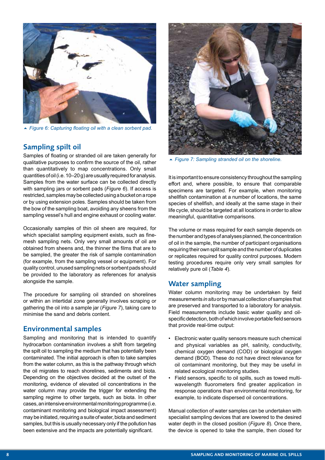

► Figure 6: Capturing floating oil with a clean sorbent pad.

#### Sampling spilt oil

Samples of foating or stranded oil are taken generally for qualitative purposes to confrm the source of the oil, rather than quantitatively to map concentrations. Only small quantities of oil (i.e. 10–20 g) are usually required for analysis. Samples from the water surface can be collected directly with sampling jars or sorbent pads (*Figure 6*). If access is restricted, samples may be collected using a bucket on a rope or by using extension poles. Samples should be taken from the bow of the sampling boat, avoiding any sheens from the sampling vessel's hull and engine exhaust or cooling water.

Occasionally samples of thin oil sheen are required, for which specialist sampling equipment exists, such as finemesh sampling nets. Only very small amounts of oil are obtained from sheens and, the thinner the flms that are to be sampled, the greater the risk of sample contamination (for example, from the sampling vessel or equipment). For quality control, unused sampling nets or sorbent pads should be provided to the laboratory as references for analysis alongside the sample.

The procedure for sampling oil stranded on shorelines or within an intertidal zone generally involves scraping or gathering the oil into a sample jar (*Figure 7*), taking care to minimise the sand and debris content.

#### Environmental samples

Sampling and monitoring that is intended to quantify hydrocarbon contamination involves a shift from targeting the spilt oil to sampling the medium that has potentially been contaminated. The initial approach is often to take samples from the water column, as this is the pathway through which the oil migrates to reach shorelines, sediments and biota. Depending on the objectives decided at the outset of the monitoring, evidence of elevated oil concentrations in the water column may provide the trigger for extending the sampling regime to other targets, such as biota. In other cases, an intensive environmental monitoring programme (i.e. contaminant monitoring and biological impact assessment) may be initiated, requiring a suite of water, biota and sediment samples, but this is usually necessary only if the pollution has been extensive and the impacts are potentially signifcant.



5 *Figure 7: Sampling stranded oil on the shoreline.*

It is important to ensure consistency throughout the sampling effort and, where possible, to ensure that comparable specimens are targeted. For example, when monitoring shellfish contamination at a number of locations, the same species of shellfish, and ideally at the same stage in their life cycle, should be targeted at all locations in order to allow meaningful, quantitative comparisons.

The volume or mass required for each sample depends on the number and types of analyses planned, the concentration of oil in the sample, the number of participant organisations requiring their own split sample and the number of duplicates or replicates required for quality control purposes. Modern testing procedures require only very small samples for relatively pure oil (*Table 4*).

#### Water sampling

Water column monitoring may be undertaken by field measurements *in situ* or by manual collection of samples that are preserved and transported to a laboratory for analysis. Field measurements include basic water quality and oilspecific detection, both of which involve portable field sensors that provide real-time output:

- Electronic water quality sensors measure such chemical and physical variables as pH, salinity, conductivity, chemical oxygen demand (COD) or biological oxygen demand (BOD). These do not have direct relevance for oil contaminant monitoring, but they may be useful in related ecological monitoring studies.
- Field sensors, specific to oil spills, such as towed multiwavelength fluorometers find greater application in response operations than environmental monitoring, for example, to indicate dispersed oil concentrations.

Manual collection of water samples can be undertaken with specialist sampling devices that are lowered to the desired water depth in the closed position (*Figure 8*). Once there, the device is opened to take the sample, then closed for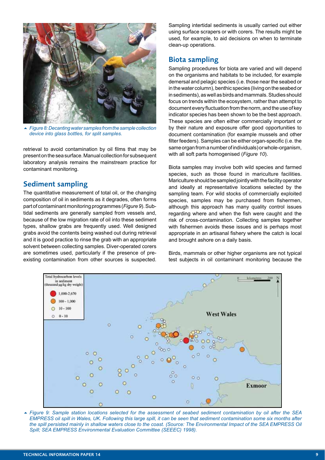

5 *Figure 8: Decanting water samples from the sample collection device into glass bottles, for split samples.*

retrieval to avoid contamination by oil flms that may be present on the sea surface. Manual collection for subsequent laboratory analysis remains the mainstream practice for contaminant monitoring.

#### Sediment sampling

The quantitative measurement of total oil, or the changing composition of oil in sediments as it degrades, often forms part of contaminant monitoring programmes (*Figure 9*). Subtidal sediments are generally sampled from vessels and, because of the low migration rate of oil into these sediment types, shallow grabs are frequently used. Well designed grabs avoid the contents being washed out during retrieval and it is good practice to rinse the grab with an appropriate solvent between collecting samples. Diver-operated corers are sometimes used, particularly if the presence of preexisting contamination from other sources is suspected.

Sampling intertidal sediments is usually carried out either using surface scrapers or with corers. The results might be used, for example, to aid decisions on when to terminate clean-up operations.

#### Biota sampling

Sampling procedures for biota are varied and will depend on the organisms and habitats to be included, for example demersal and pelagic species (i.e. those near the seabed or in the water column), benthic species (living on the seabed or in sediments), as well as birds and mammals. Studies should focus on trends within the ecosystem, rather than attempt to document every fuctuation from the norm, and the use of key indicator species has been shown to be the best approach. These species are often either commercially important or by their nature and exposure offer good opportunities to document contamination (for example mussels and other filter feeders). Samples can be either organ-specific (i.e. the same organ from a number of individuals) or whole-organism, with all soft parts homogenised (*Figure 10*).

Biota samples may involve both wild species and farmed species, such as those found in mariculture facilities. Mariculture should be sampled jointly with the facility operator and ideally at representative locations selected by the sampling team. For wild stocks of commercially exploited species, samples may be purchased from fishermen, although this approach has many quality control issues regarding where and when the fish were caught and the risk of cross-contamination. Collecting samples together with fishermen avoids these issues and is perhaps most appropriate in an artisanal fishery where the catch is local and brought ashore on a daily basis.

Birds, mammals or other higher organisms are not typical test subjects in oil contaminant monitoring because the



5 *Figure 9: Sample station locations selected for the assessment of seabed sediment contamination by oil after the SEA EMPRESS oil spill in Wales, UK. Following this large spill, it can be seen that sediment contamination some six months after the spill persisted mainly in shallow waters close to the coast. (Source: The Environmental Impact of the SEA EMPRESS Oil Spill; SEA EMPRESS Environmental Evaluation Committee (SEEEC) 1998).*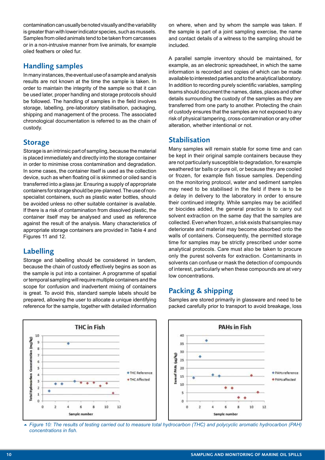contamination can usually be noted visually and the variability is greater than with lower indicator species, such as mussels. Samples from oiled animals tend to be taken from carcasses or in a non-intrusive manner from live animals, for example oiled feathers or oiled fur.

#### Handling samples

In many instances, the eventual use of a sample and analysis results are not known at the time the sample is taken. In order to maintain the integrity of the sample so that it can be used later, proper handling and storage protocols should be followed. The handling of samples in the field involves storage, labelling, pre-laboratory stabilisation, packaging, shipping and management of the process. The associated chronological documentation is referred to as the chain of custody.

#### **Storage**

Storage is an intrinsic part of sampling, because the material is placed immediately and directly into the storage container in order to minimise cross contamination and degradation. In some cases, the container itself is used as the collection device, such as when foating oil is skimmed or oiled sand is transferred into a glass jar. Ensuring a supply of appropriate containers for storage should be pre-planned. The use of nonspecialist containers, such as plastic water bottles, should be avoided unless no other suitable container is available. If there is a risk of contamination from dissolved plastic, the container itself may be analysed and used as reference against the result of the analysis. Many characteristics of appropriate storage containers are provided in Table 4 and Figures 11 and 12.

#### Labelling

Storage and labelling should be considered in tandem, because the chain of custody effectively begins as soon as the sample is put into a container. A programme of spatial or temporal sampling will require multiple containers and the scope for confusion and inadvertent mixing of containers is great. To avoid this, standard sample labels should be prepared, allowing the user to allocate a unique identifying reference for the sample, together with detailed information on where, when and by whom the sample was taken. If the sample is part of a joint sampling exercise, the name and contact details of a witness to the sampling should be included.

A parallel sample inventory should be maintained, for example, as an electronic spreadsheet, in which the same information is recorded and copies of which can be made available to interested parties and to the analytical laboratory. In addition to recording purely scientifc variables, sampling teams should document the names, dates, places and other details surrounding the custody of the samples as they are transferred from one party to another. Protecting the chain of custody ensures that the samples are not exposed to any risk of physical tampering, cross-contamination or any other alteration, whether intentional or not.

#### Stabilisation

Many samples will remain stable for some time and can be kept in their original sample containers because they are not particularly susceptible to degradation, for example weathered tar balls or pure oil, or because they are cooled or frozen, for example fsh tissue samples. Depending on the monitoring protocol, water and sediment samples may need to be stabilised in the feld if there is to be a delay in delivery to the laboratory in order to ensure their continued integrity. While samples may be acidifed or biocides added, the general practice is to carry out solvent extraction on the same day that the samples are collected. Even when frozen, a risk exists that samples may deteriorate and material may become absorbed onto the walls of containers. Consequently, the permitted storage time for samples may be strictly prescribed under some analytical protocols. Care must also be taken to procure only the purest solvents for extraction. Contaminants in solvents can confuse or mask the detection of compounds of interest, particularly when these compounds are at very low concentrations.

#### Packing & shipping

Samples are stored primarily in glassware and need to be packed carefully prior to transport to avoid breakage, loss



5 *Figure 10: The results of testing carried out to measure total hydrocarbon (THC) and polycyclic aromatic hydrocarbon (PAH) concentrations in fsh.*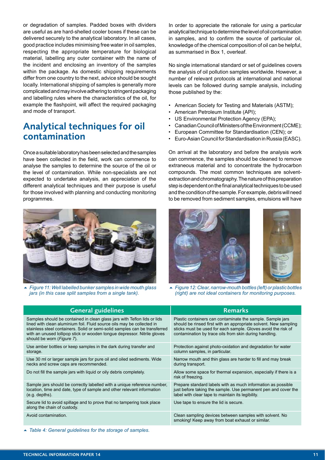or degradation of samples. Padded boxes with dividers are useful as are hard-shelled cooler boxes if these can be delivered securely to the analytical laboratory. In all cases, good practice includes minimising free water in oil samples, respecting the appropriate temperature for biological material, labelling any outer container with the name of the incident and enclosing an inventory of the samples within the package. As domestic shipping requirements differ from one country to the next, advice should be sought locally. International shipping of samples is generally more complicated and may involve adhering to stringent packaging and labelling rules where the characteristics of the oil, for example the fashpoint, will affect the required packaging and mode of transport.

## Analytical techniques for oil contamination

Once a suitable laboratory has been selected and the samples have been collected in the field, work can commence to analyse the samples to determine the source of the oil or the level of contamination. While non-specialists are not expected to undertake analysis, an appreciation of the different analytical techniques and their purpose is useful for those involved with planning and conducting monitoring programmes.



5 *Figure 11: Well labelled bunker samples in wide mouth glass jars (in this case split samples from a single tank).*

In order to appreciate the rationale for using a particular analytical technique to determine the level of oil contamination in samples, and to confrm the source of particular oil, knowledge of the chemical composition of oil can be helpful, as summarised in Box 1, overleaf.

No single international standard or set of guidelines covers the analysis of oil pollution samples worldwide. However, a number of relevant protocols at international and national levels can be followed during sample analysis, including those published by the:

- American Society for Testing and Materials (ASTM);
- American Petroleum Institute (API);
- US Environmental Protection Agency (EPA);
- Canadian Council of Ministers of the Environment (CCME);
- European Committee for Standardisation (CEN); or
- Euro-Asian Council for Standardisation in Russia (EASC).

On arrival at the laboratory and before the analysis work can commence, the samples should be cleaned to remove extraneous material and to concentrate the hydrocarbon compounds. The most common techniques are solventextraction and chromatography. The nature of this preparation step is dependent on the final analytical techniques to be used and the condition of the sample. For example, debris will need to be removed from sediment samples, emulsions will have



5 *Figure 12: Clear, narrow-mouth bottles (left) or plastic bottles (right) are not ideal containers for monitoring purposes.*

| <b>General guidelines</b>                                                                                                                                                                                                                                                                                                                           | <b>Remarks</b>                                                                                                                                                                                                                                            |
|-----------------------------------------------------------------------------------------------------------------------------------------------------------------------------------------------------------------------------------------------------------------------------------------------------------------------------------------------------|-----------------------------------------------------------------------------------------------------------------------------------------------------------------------------------------------------------------------------------------------------------|
| Samples should be contained in clean glass jars with Teflon lids or lids<br>lined with clean aluminium foil. Fluid source oils may be collected in<br>stainless steel containers. Solid or semi-solid samples can be transferred<br>with an unused lollipop stick or wooden tongue depressor. Nitrile gloves<br>should be worn ( <i>Figure 7</i> ). | Plastic containers can contaminate the sample. Sample jars<br>should be rinsed first with an appropriate solvent. New sampling<br>sticks must be used for each sample. Gloves avoid the risk of<br>contamination by trace oils from skin during handling. |
| Use amber bottles or keep samples in the dark during transfer and<br>storage.                                                                                                                                                                                                                                                                       | Protection against photo-oxidation and degradation for water<br>column samples, in particular.                                                                                                                                                            |
| Use 30 ml or larger sample jars for pure oil and oiled sediments. Wide<br>necks and screw caps are recommended.                                                                                                                                                                                                                                     | Narrow mouth and thin glass are harder to fill and may break<br>during transport.                                                                                                                                                                         |
| Do not fill the sample jars with liquid or oily debris completely.                                                                                                                                                                                                                                                                                  | Allow some space for thermal expansion, especially if there is a<br>risk of freezing.                                                                                                                                                                     |
| Sample jars should be correctly labelled with a unique reference number,<br>location, time and date, type of sample and other relevant information<br>$(e.g.$ depths).                                                                                                                                                                              | Prepare standard labels with as much information as possible<br>just before taking the sample. Use permanent pen and cover the<br>label with clear tape to maintain its legibility.                                                                       |
| Secure lid to avoid spillage and to prove that no tampering took place<br>along the chain of custody.                                                                                                                                                                                                                                               | Use tape to ensure the lid is secure.                                                                                                                                                                                                                     |
| Avoid contamination.                                                                                                                                                                                                                                                                                                                                | Clean sampling devices between samples with solvent. No<br>smoking! Keep away from boat exhaust or similar.                                                                                                                                               |

▲ Table 4: General guidelines for the storage of samples.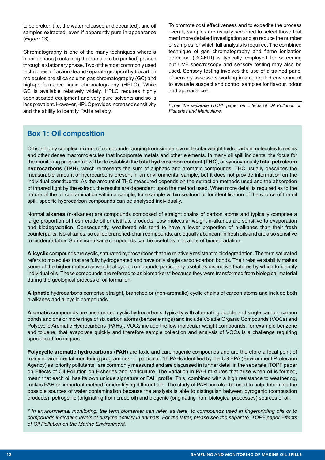to be broken (i.e. the water released and decanted), and oil samples extracted, even if apparently pure in appearance (*Figure 13*).

Chromatography is one of the many techniques where a mobile phase (containing the sample to be purifed) passes through a stationary phase. Two of the most commonly used techniques to fractionate and separate groups of hydrocarbon molecules are silica column gas chromatography (GC) and high-performance liquid chromatography (HPLC). While GC is available relatively widely, HPLC requires highly sophisticated equipment and very pure solvents and so is less prevalent. However, HPLC provides increased sensitivity and the ability to identify PAHs reliably.

To promote cost effectiveness and to expedite the process overall, samples are usually screened to select those that merit more detailed investigation and so reduce the number of samples for which full analysis is required. The combined technique of gas chromatography and fame ionization detection (GC-FID) is typically employed for screening but UVF spectroscopy and sensory testing may also be used. Sensory testing involves the use of a trained panel of sensory assessors working in a controlled environment to evaluate suspect and control samples for favour, odour and appearance4.

*4 See the separate ITOPF paper on Effects of Oil Pollution on Fisheries and Mariculture.*

#### Box 1: Oil composition

Oil is a highly complex mixture of compounds ranging from simple low molecular weight hydrocarbon molecules to resins and other dense macromolecules that incorporate metals and other elements. In many oil spill incidents, the focus for the monitoring programme will be to establish the **total hydrocarbon content (THC)**, or synonymously **total petroleum hydrocarbons (TPH)**, which represents the sum of aliphatic and aromatic compounds. THC usually describes the measurable amount of hydrocarbons present in an environmental sample, but it does not provide information on the individual constituents. As the amount of THC measured depends on the extraction methods used and the absorption of infrared light by the extract, the results are dependent upon the method used. When more detail is required as to the nature of the oil contamination within a sample, for example within seafood or for identifcation of the source of the oil spill, specific hydrocarbon compounds can be analysed individually.

Normal **alkanes** (n-alkanes) are compounds composed of straight chains of carbon atoms and typically comprise a large proportion of fresh crude oil or distillate products. Low molecular weight n-alkanes are sensitive to evaporation and biodegradation. Consequently, weathered oils tend to have a lower proportion of n-alkanes than their fresh counterparts. Iso-alkanes, so called branched-chain compounds, are equally abundant in fresh oils and are also sensitive to biodegradation Some iso-alkane compounds can be useful as indicators of biodegradation.

**Alicyclic** compounds are cyclic, saturated hydrocarbons that are relatively resistant to biodegradation. The term saturated refers to molecules that are fully hydrogenated and have only single carbon-carbon bonds. Their relative stability makes some of the higher molecular weight alicyclic compounds particularly useful as distinctive features by which to identify individual oils. These compounds are referred to as biomarkers\* because they were transformed from biological material during the geological process of oil formation.

**Aliphatic** hydrocarbons comprise straight, branched or (non-aromatic) cyclic chains of carbon atoms and include both n-alkanes and alicyclic compounds.

**Aromatic** compounds are unsaturated cyclic hydrocarbons, typically with alternating double and single carbon–carbon bonds and one or more rings of six carbon atoms (benzene rings) and include Volatile Organic Compounds (VOCs) and Polycyclic Aromatic Hydrocarbons (PAHs). VOCs include the low molecular weight compounds, for example benzene and toluene, that evaporate quickly and therefore sample collection and analysis of VOCs is a challenge requiring specialised techniques.

**Polycyclic aromatic hydrocarbons (PAH)** are toxic and carcinogenic compounds and are therefore a focal point of many environmental monitoring programmes. In particular, 16 PAHs identifed by the US EPA (Environment Protection Agency) as 'priority pollutants', are commonly measured and are discussed in further detail in the separate ITOPF paper on Effects of Oil Pollution on Fisheries and Mariculture. The variation in PAH mixtures that arise when oil is formed, mean that each oil has its own unique signature or PAH profle. This, combined with a high resistance to weathering, makes PAH an important method for identifying different oils. The study of PAH can also be used to help determine the possible sources of water contamination because the analysis is able to distinguish between pyrogenic (combustion products), petrogenic (originating from crude oil) and biogenic (originating from biological processes) sources of oil.

*\* In environmental monitoring, the term biomarker can refer, as here, to compounds used in fngerprinting oils or to compounds indicating levels of enzyme activity in animals. For the latter, please see the separate ITOPF paper Effects of Oil Pollution on the Marine Environment.*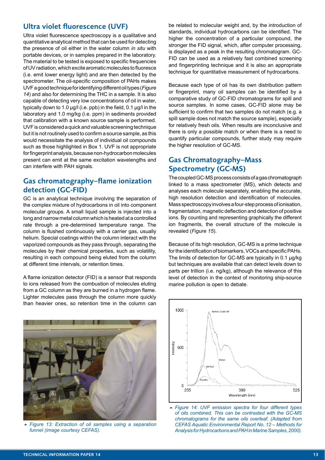#### Ultra violet fluorescence (UVF)

Ultra violet fuorescence spectroscopy is a qualitative and quantitative analytical method that can be used for detecting the presence of oil either in the water column *in situ* with portable devices, or in samples prepared in the laboratory. The material to be tested is exposed to specifc frequencies of UV radiation, which excite aromatic molecules to fuoresce (i.e. emit lower energy light) and are then detected by the spectrometer. The oil-specific composition of PAHs makes UVF a good technique for identifying different oil types (*Figure 14*) and also for determining the THC in a sample. It is also capable of detecting very low concentrations of oil in water, typically down to 1.0 μg/l (i.e. ppb) in the feld, 0.1 μg/l in the laboratory and 1.0 mg/kg (i.e. ppm) in sediments provided that calibration with a known source sample is performed. UVF is considered a quick and valuable screening technique but it is not routinely used to confrm a source sample, as this would necessitate the analysis of individual oil compounds such as those highlighted in Box 1. UVF is not appropriate for fngerprint analysis, because non-hydrocarbon molecules present can emit at the same excitation wavelengths and can interfere with PAH signals.

#### Gas chromatography–flame ionization detection (GC-FID)

GC is an analytical technique involving the separation of the complex mixture of hydrocarbons in oil into component molecular groups. A small liquid sample is injected into a long and narrow metal column which is heated at a controlled rate through a pre-determined temperature range. The column is fushed continuously with a carrier gas, usually helium. Special coatings within the column interact with the vaporized compounds as they pass through, separating the molecules by their chemical properties, such as volatility, resulting in each compound being eluted from the column at different time intervals, or retention times.

A fame ionization detector (FID) is a sensor that responds to ions released from the combustion of molecules eluting from a GC column as they are burned in a hydrogen fame. Lighter molecules pass through the column more quickly than heavier ones, so retention time in the column can



5 *Figure 13: Extraction of oil samples using a separation funnel (image courtesy CEFAS).*

be related to molecular weight and, by the introduction of standards, individual hydrocarbons can be identifed. The higher the concentration of a particular compound, the stronger the FID signal, which, after computer processing, is displayed as a peak in the resulting chromatogram. GC-FID can be used as a relatively fast combined screening and fngerprinting technique and it is also an appropriate technique for quantitative measurement of hydrocarbons.

Because each type of oil has its own distribution pattern or fngerprint, many oil samples can be identifed by a comparative study of GC-FID chromatograms for spill and source samples. In some cases, GC-FID alone may be sufficient to confirm that two samples do not match (e.g. a spill sample does not match the source sample), especially for relatively fresh oils. When results are inconclusive and there is only a possible match or when there is a need to quantify particular compounds, further study may require the higher resolution of GC-MS.

#### Gas Chromatography–Mass Spectrometry (GC-MS)

The coupled GC-MS process consists of a gas chromatograph linked to a mass spectrometer (MS), which detects and analyses each molecule separately, enabling the accurate, high resolution detection and identification of molecules. Mass spectroscopy involves a four-step process of ionisation, fragmentation, magnetic defection and detection of positive ions. By counting and representing graphically the different ion fragments, the overall structure of the molecule is revealed (*Figure 15*).

Because of its high resolution, GC-MS is a prime technique for the identification of biomarkers, VOCs and specific PAHs. The limits of detection for GC-MS are typically in 0.1 μg/kg but techniques are available that can detect levels down to parts per trillion (i.e. ng/kg), although the relevance of this level of detection in the context of monitoring ship-source marine pollution is open to debate.



5 *Figure 14: UVF emission spectra for four different types of oils combined. This can be contrasted with the GC-MS chromatograms for the same oils overleaf. (Adapted from CEFAS Aquatic Environmental Report No. 12 – Methods for Analysis for Hydrocarbons and PAH in Marine Samples, 2000).*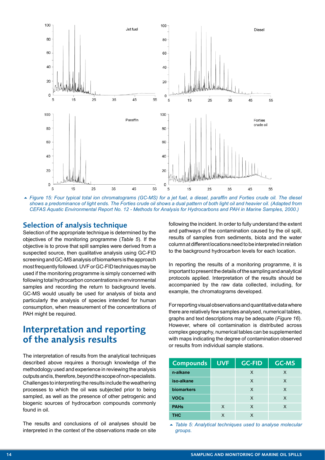

5 *Figure 15: Four typical total ion chromatograms (GC-MS) for a jet fuel, a diesel, paraffn and Forties crude oil. The diesel shows a predominance of light ends. The Forties crude oil shows a dual pattern of both light oil and heavier oil. (Adapted from CEFAS Aquatic Environmental Report No. 12 - Methods for Analysis for Hydrocarbons and PAH in Marine Samples, 2000.)*

#### Selection of analysis technique

Selection of the appropriate technique is determined by the objectives of the monitoring programme (*Table 5*). If the objective is to prove that spill samples were derived from a suspected source, then qualitative analysis using GC-FID screening and GC-MS analysis of biomarkers is the approach most frequently followed. UVF or GC-FID techniques may be used if the monitoring programme is simply concerned with following total hydrocarbon concentrations in environmental samples and recording the return to background levels. GC-MS would usually be used for analysis of biota and particularly the analysis of species intended for human consumption, when measurement of the concentrations of PAH might be required.

## Interpretation and reporting of the analysis results

The interpretation of results from the analytical techniques described above requires a thorough knowledge of the methodology used and experience in reviewing the analysis outputs and is, therefore, beyond the scope of non-specialists. Challenges to interpreting the results include the weathering processes to which the oil was subjected prior to being sampled, as well as the presence of other petrogenic and biogenic sources of hydrocarbon compounds commonly found in oil.

The results and conclusions of oil analyses should be interpreted in the context of the observations made on site following the incident. In order to fully understand the extent and pathways of the contamination caused by the oil spill, results of samples from sediments, biota and the water column at different locations need to be interpreted in relation to the background hydrocarbon levels for each location.

In reporting the results of a monitoring programme, it is important to present the details of the sampling and analytical protocols applied. Interpretation of the results should be accompanied by the raw data collected, including, for example, the chromatograms developed.

For reporting visual observations and quantitative data where there are relatively few samples analysed, numerical tables, graphs and text descriptions may be adequate (*Figure 16*). However, where oil contamination is distributed across complex geography, numerical tables can be supplemented with maps indicating the degree of contamination observed or results from individual sample stations.

| Compounds         | <b>UVF</b> | <b>GC-FID</b> | <b>GC-MS</b> |
|-------------------|------------|---------------|--------------|
| n-alkane          |            | X             | X            |
| iso-alkane        |            | X             | X            |
| <b>biomarkers</b> |            | X             | X            |
| <b>VOCs</b>       |            | X             | X            |
| <b>PAHs</b>       | X          | X             | X            |
| <b>THC</b>        | x          | x             |              |

■ Table 5: Analytical techniques used to analyse molecular *groups.*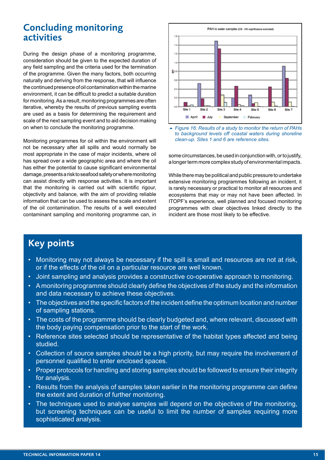## Concluding monitoring activities

During the design phase of a monitoring programme, consideration should be given to the expected duration of any field sampling and the criteria used for the termination of the programme. Given the many factors, both occurring naturally and deriving from the response, that will infuence the continued presence of oil contamination within the marine environment, it can be difficult to predict a suitable duration for monitoring. As a result, monitoring programmes are often iterative, whereby the results of previous sampling events are used as a basis for determining the requirement and scale of the next sampling event and to aid decision making on when to conclude the monitoring programme.

Monitoring programmes for oil within the environment will not be necessary after all spills and would normally be most appropriate in the case of major incidents, where oil has spread over a wide geographic area and where the oil has either the potential to cause significant environmental damage, presents a risk to seafood safety or where monitoring can assist directly with response activities. It is important that the monitoring is carried out with scientific rigour, objectivity and balance, with the aim of providing reliable information that can be used to assess the scale and extent of the oil contamination. The results of a well executed contaminant sampling and monitoring programme can, in



5 *Figure 16: Results of a study to monitor the return of PAHs to background levels off coastal waters during shoreline clean-up. Sites 1 and 6 are reference sites.*

some circumstances, be used in conjunction with, or to justify, a longer term more complex study of environmental impacts.

While there may be political and public pressure to undertake extensive monitoring programmes following an incident, it is rarely necessary or practical to monitor all resources and ecosystems that may or may not have been affected. In ITOPF's experience, well planned and focused monitoring programmes with clear objectives linked directly to the incident are those most likely to be effective.

# Key points

- Monitoring may not always be necessary if the spill is small and resources are not at risk, or if the effects of the oil on a particular resource are well known.
- Joint sampling and analysis provides a constructive co-operative approach to monitoring.
- A monitoring programme should clearly defne the objectives of the study and the information and data necessary to achieve these objectives.
- The objectives and the specific factors of the incident define the optimum location and number of sampling stations.
- The costs of the programme should be clearly budgeted and, where relevant, discussed with the body paying compensation prior to the start of the work.
- Reference sites selected should be representative of the habitat types affected and being studied.
- Collection of source samples should be a high priority, but may require the involvement of personnel qualifed to enter enclosed spaces.
- Proper protocols for handling and storing samples should be followed to ensure their integrity for analysis.
- Results from the analysis of samples taken earlier in the monitoring programme can define the extent and duration of further monitoring.
- The techniques used to analyse samples will depend on the objectives of the monitoring. but screening techniques can be useful to limit the number of samples requiring more sophisticated analysis.